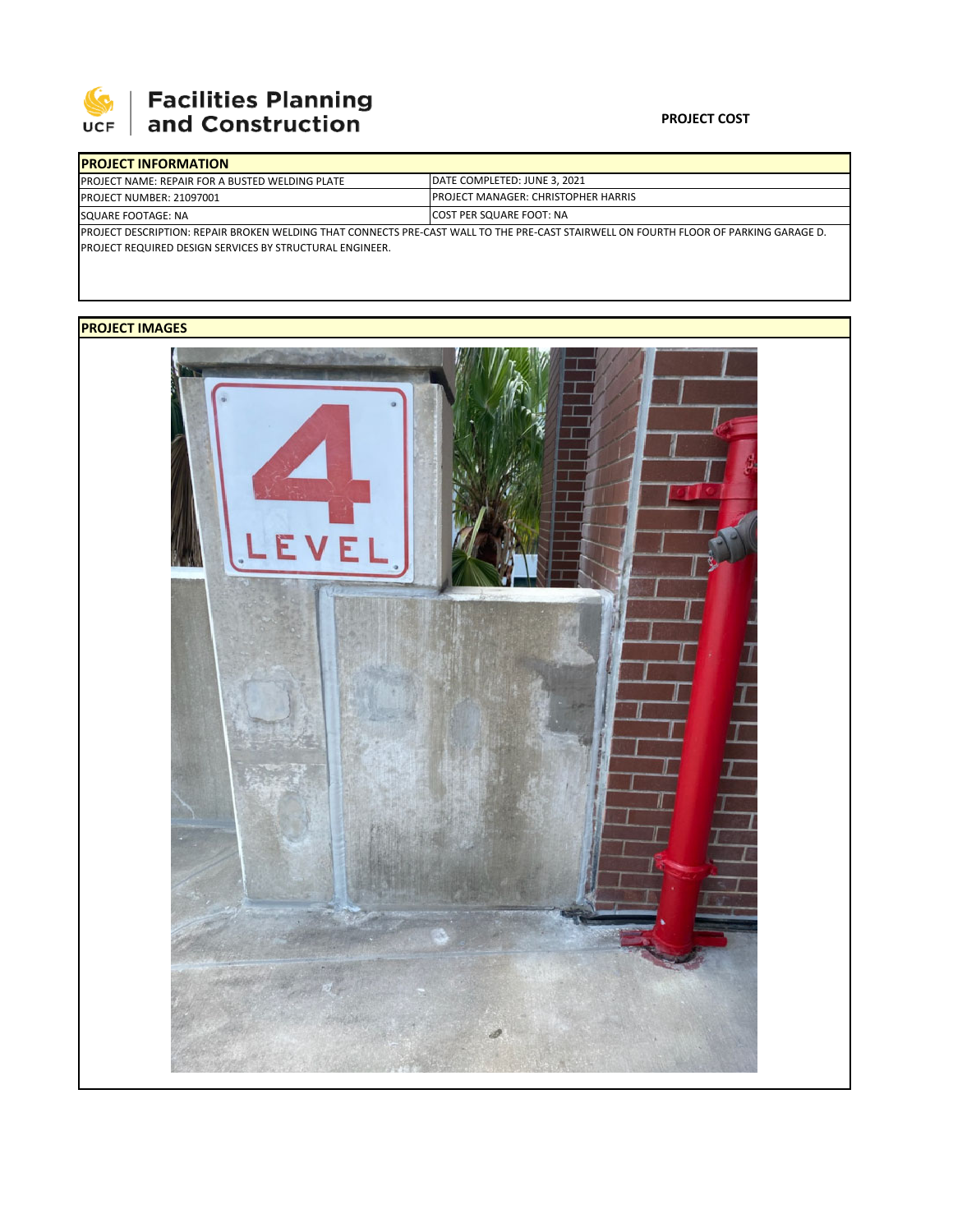

# **Facilities Planning<br>and Construction**

### **PROJECT COST**

| <b>IPROJECT INFORMATION</b>                                                                                                            |                                                                                |  |  |  |  |  |  |  |
|----------------------------------------------------------------------------------------------------------------------------------------|--------------------------------------------------------------------------------|--|--|--|--|--|--|--|
| <b>IPROJECT NAME: REPAIR FOR A BUSTED WELDING PLATE</b>                                                                                | DATE COMPLETED: JUNE 3, 2021                                                   |  |  |  |  |  |  |  |
| <b>PROJECT NUMBER: 21097001</b>                                                                                                        | <b>PROJECT MANAGER: CHRISTOPHER HARRIS</b><br><b>ICOST PER SQUARE FOOT: NA</b> |  |  |  |  |  |  |  |
| SQUARE FOOTAGE: NA                                                                                                                     |                                                                                |  |  |  |  |  |  |  |
| IPROJECT DESCRIPTION: REPAIR BROKEN WELDING THAT CONNECTS PRE-CAST WALL TO THE PRE-CAST STAIRWELL ON FOURTH FLOOR OF PARKING GARAGE D. |                                                                                |  |  |  |  |  |  |  |
| <b>PROJECT REQUIRED DESIGN SERVICES BY STRUCTURAL ENGINEER.</b>                                                                        |                                                                                |  |  |  |  |  |  |  |

## **PROJECT IMAGES**